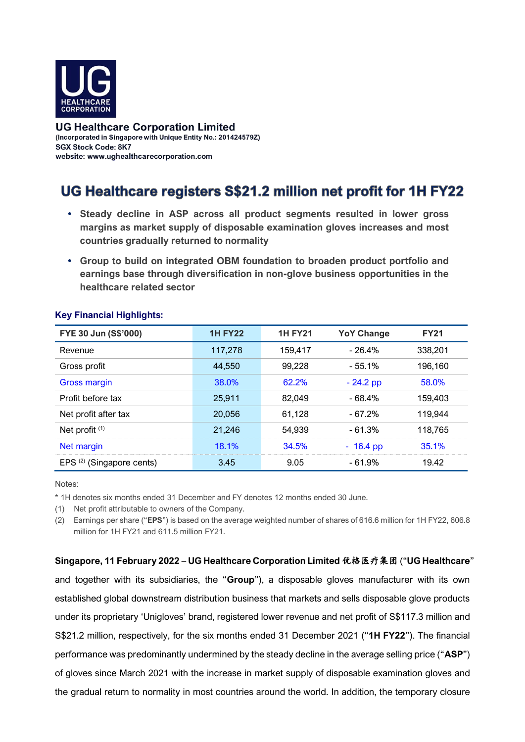

**UG Healthcare Corporation Limited** (Incorporated in Singapore with Unique Entity No.: 201424579Z) **SGX Stock Code: 8K7** website: www.uqhealthcarecorporation.com

# UG Healthcare registers S\$21.2 million net profit for 1H FY22

- **Steady decline in ASP across all product segments resulted in lower gross margins as market supply of disposable examination gloves increases and most countries gradually returned to normality**
- **Group to build on integrated OBM foundation to broaden product portfolio and earnings base through diversification in non-glove business opportunities in the healthcare related sector**

| FYE 30 Jun (S\$'000)                 | <b>1H FY22</b> | <b>1H FY21</b> | <b>YoY Change</b> | <b>FY21</b> |
|--------------------------------------|----------------|----------------|-------------------|-------------|
| Revenue                              | 117,278        | 159,417        | $-26.4%$          | 338,201     |
| Gross profit                         | 44.550         | 99,228         | - 55.1%           | 196,160     |
| Gross margin                         | 38.0%          | 62.2%          | $-24.2$ pp        | 58.0%       |
| Profit before tax                    | 25,911         | 82,049         | - 68.4%           | 159,403     |
| Net profit after tax                 | 20,056         | 61,128         | - 67.2%           | 119,944     |
| Net profit <sup>(1)</sup>            | 21,246         | 54,939         | $-61.3%$          | 118,765     |
| Net margin                           | 18.1%          | 34.5%          | $-16.4$ pp        | 35.1%       |
| EPS <sup>(2)</sup> (Singapore cents) | 3.45           | 9.05           | - 61.9%           | 19.42       |

## **Key Financial Highlights:**

#### Notes:

\* 1H denotes six months ended 31 December and FY denotes 12 months ended 30 June.

(1) Net profit attributable to owners of the Company.

(2) Earnings per share ("**EPS**") is based on the average weighted number of shares of 616.6 million for 1H FY22, 606.8 million for 1H FY21 and 611.5 million FY21.

**Singapore, 11 February 2022** – **UG Healthcare Corporation Limited** 优格医疗集团 ("**UG Healthcare**" and together with its subsidiaries, the "**Group**"), a disposable gloves manufacturer with its own established global downstream distribution business that markets and sells disposable glove products under its proprietary 'Unigloves' brand, registered lower revenue and net profit of S\$117.3 million and S\$21.2 million, respectively, for the six months ended 31 December 2021 ("**1H FY22**"). The financial performance was predominantly undermined by the steady decline in the average selling price ("**ASP**") of gloves since March 2021 with the increase in market supply of disposable examination gloves and the gradual return to normality in most countries around the world. In addition, the temporary closure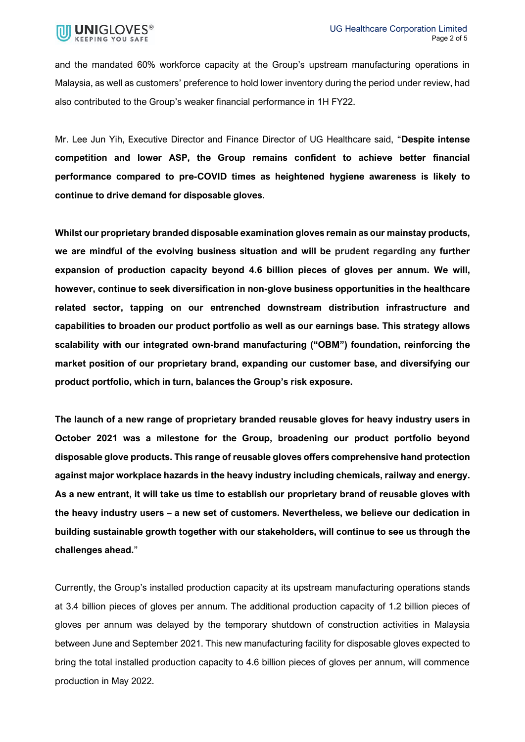

and the mandated 60% workforce capacity at the Group's upstream manufacturing operations in Malaysia, as well as customers' preference to hold lower inventory during the period under review, had also contributed to the Group's weaker financial performance in 1H FY22.

Mr. Lee Jun Yih, Executive Director and Finance Director of UG Healthcare said, "**Despite intense competition and lower ASP, the Group remains confident to achieve better financial performance compared to pre-COVID times as heightened hygiene awareness is likely to continue to drive demand for disposable gloves.** 

**Whilst our proprietary branded disposable examination gloves remain as our mainstay products, we are mindful of the evolving business situation and will be prudent regarding any further expansion of production capacity beyond 4.6 billion pieces of gloves per annum. We will, however, continue to seek diversification in non-glove business opportunities in the healthcare related sector, tapping on our entrenched downstream distribution infrastructure and capabilities to broaden our product portfolio as well as our earnings base. This strategy allows scalability with our integrated own-brand manufacturing ("OBM") foundation, reinforcing the market position of our proprietary brand, expanding our customer base, and diversifying our product portfolio, which in turn, balances the Group's risk exposure.** 

**The launch of a new range of proprietary branded reusable gloves for heavy industry users in October 2021 was a milestone for the Group, broadening our product portfolio beyond disposable glove products. This range of reusable gloves offers comprehensive hand protection against major workplace hazards in the heavy industry including chemicals, railway and energy. As a new entrant, it will take us time to establish our proprietary brand of reusable gloves with the heavy industry users – a new set of customers. Nevertheless, we believe our dedication in building sustainable growth together with our stakeholders, will continue to see us through the challenges ahead.**"

Currently, the Group's installed production capacity at its upstream manufacturing operations stands at 3.4 billion pieces of gloves per annum. The additional production capacity of 1.2 billion pieces of gloves per annum was delayed by the temporary shutdown of construction activities in Malaysia between June and September 2021. This new manufacturing facility for disposable gloves expected to bring the total installed production capacity to 4.6 billion pieces of gloves per annum, will commence production in May 2022.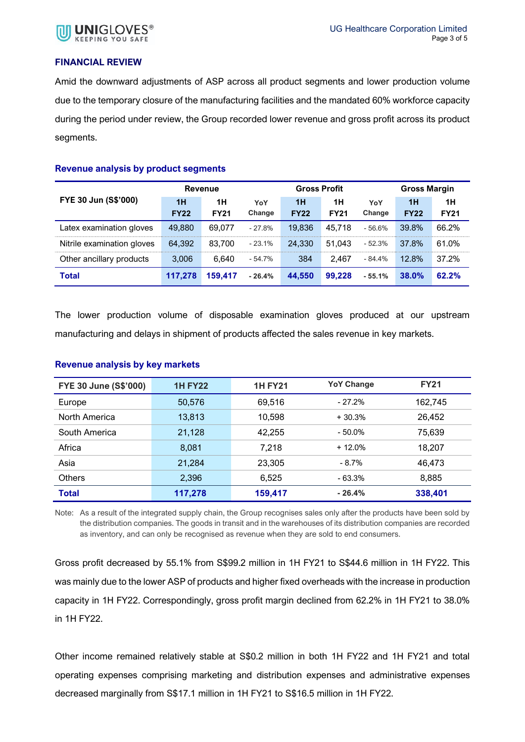

### **FINANCIAL REVIEW**

Amid the downward adjustments of ASP across all product segments and lower production volume due to the temporary closure of the manufacturing facilities and the mandated 60% workforce capacity during the period under review, the Group recorded lower revenue and gross profit across its product segments.

#### **Revenue analysis by product segments**

|                            | Revenue     |             | <b>Gross Profit</b> |             | <b>Gross Margin</b> |          |             |             |
|----------------------------|-------------|-------------|---------------------|-------------|---------------------|----------|-------------|-------------|
| FYE 30 Jun (S\$'000)       | 1H          | 1H          | YoY                 | 1H          | 1H                  | YoY      | 1H          | 1H          |
|                            | <b>FY22</b> | <b>FY21</b> | Change              | <b>FY22</b> | <b>FY21</b>         | Change   | <b>FY22</b> | <b>FY21</b> |
| Latex examination gloves   | 49.880      | 69.077      | $-27.8%$            | 19.836      | 45.718              | $-56.6%$ | 39.8%       | 66.2%       |
| Nitrile examination gloves | 64,392      | 83.700      | $-23.1%$            | 24,330      | 51.043              | $-52.3%$ | 37.8%       | 61.0%       |
| Other ancillary products   | 3,006       | 6.640       | $-54.7\%$           | 384         | 2.467               | $-84.4%$ | 12.8%       | 37.2%       |
| <b>Total</b>               | 117,278     | 159.417     | $-26.4%$            | 44,550      | 99.228              | $-55.1%$ | 38.0%       | 62.2%       |

The lower production volume of disposable examination gloves produced at our upstream manufacturing and delays in shipment of products affected the sales revenue in key markets.

| <b>FYE 30 June (S\$'000)</b> | <b>1H FY22</b> | <b>1H FY21</b> | <b>YoY Change</b> | <b>FY21</b> |
|------------------------------|----------------|----------------|-------------------|-------------|
| Europe                       | 50,576         | 69,516         | $-27.2%$          | 162,745     |
| North America                | 13,813         | 10,598         | $+30.3%$          | 26,452      |
| South America                | 21,128         | 42,255         | $-50.0\%$         | 75.639      |
| Africa                       | 8.081          | 7,218          | $+12.0\%$         | 18,207      |
| Asia                         | 21,284         | 23,305         | $-8.7\%$          | 46,473      |
| <b>Others</b>                | 2,396          | 6,525          | - 63.3%           | 8,885       |
| <b>Total</b>                 | 117,278        | 159.417        | $-26.4%$          | 338,401     |

#### **Revenue analysis by key markets**

Note: As a result of the integrated supply chain, the Group recognises sales only after the products have been sold by the distribution companies. The goods in transit and in the warehouses of its distribution companies are recorded as inventory, and can only be recognised as revenue when they are sold to end consumers.

Gross profit decreased by 55.1% from S\$99.2 million in 1H FY21 to S\$44.6 million in 1H FY22. This was mainly due to the lower ASP of products and higher fixed overheads with the increase in production capacity in 1H FY22. Correspondingly, gross profit margin declined from 62.2% in 1H FY21 to 38.0% in 1H FY22.

Other income remained relatively stable at S\$0.2 million in both 1H FY22 and 1H FY21 and total operating expenses comprising marketing and distribution expenses and administrative expenses decreased marginally from S\$17.1 million in 1H FY21 to S\$16.5 million in 1H FY22.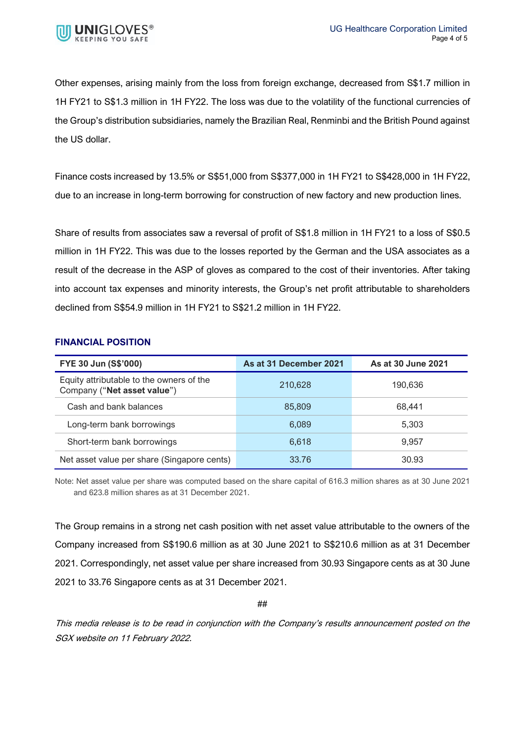

Other expenses, arising mainly from the loss from foreign exchange, decreased from S\$1.7 million in 1H FY21 to S\$1.3 million in 1H FY22. The loss was due to the volatility of the functional currencies of the Group's distribution subsidiaries, namely the Brazilian Real, Renminbi and the British Pound against the US dollar.

Finance costs increased by 13.5% or S\$51,000 from S\$377,000 in 1H FY21 to S\$428,000 in 1H FY22, due to an increase in long-term borrowing for construction of new factory and new production lines.

Share of results from associates saw a reversal of profit of S\$1.8 million in 1H FY21 to a loss of S\$0.5 million in 1H FY22. This was due to the losses reported by the German and the USA associates as a result of the decrease in the ASP of gloves as compared to the cost of their inventories. After taking into account tax expenses and minority interests, the Group's net profit attributable to shareholders declined from S\$54.9 million in 1H FY21 to S\$21.2 million in 1H FY22.

## **FINANCIAL POSITION**

| FYE 30 Jun (S\$'000)                                                    | As at 31 December 2021 | As at 30 June 2021 |
|-------------------------------------------------------------------------|------------------------|--------------------|
| Equity attributable to the owners of the<br>Company ("Net asset value") | 210.628                | 190.636            |
| Cash and bank balances                                                  | 85.809                 | 68.441             |
| Long-term bank borrowings                                               | 6.089                  | 5.303              |
| Short-term bank borrowings                                              | 6.618                  | 9.957              |
| Net asset value per share (Singapore cents)                             | 33.76                  | 30.93              |

Note: Net asset value per share was computed based on the share capital of 616.3 million shares as at 30 June 2021 and 623.8 million shares as at 31 December 2021.

The Group remains in a strong net cash position with net asset value attributable to the owners of the Company increased from S\$190.6 million as at 30 June 2021 to S\$210.6 million as at 31 December 2021. Correspondingly, net asset value per share increased from 30.93 Singapore cents as at 30 June 2021 to 33.76 Singapore cents as at 31 December 2021.

##

This media release is to be read in conjunction with the Company's results announcement posted on the SGX website on 11 February 2022.